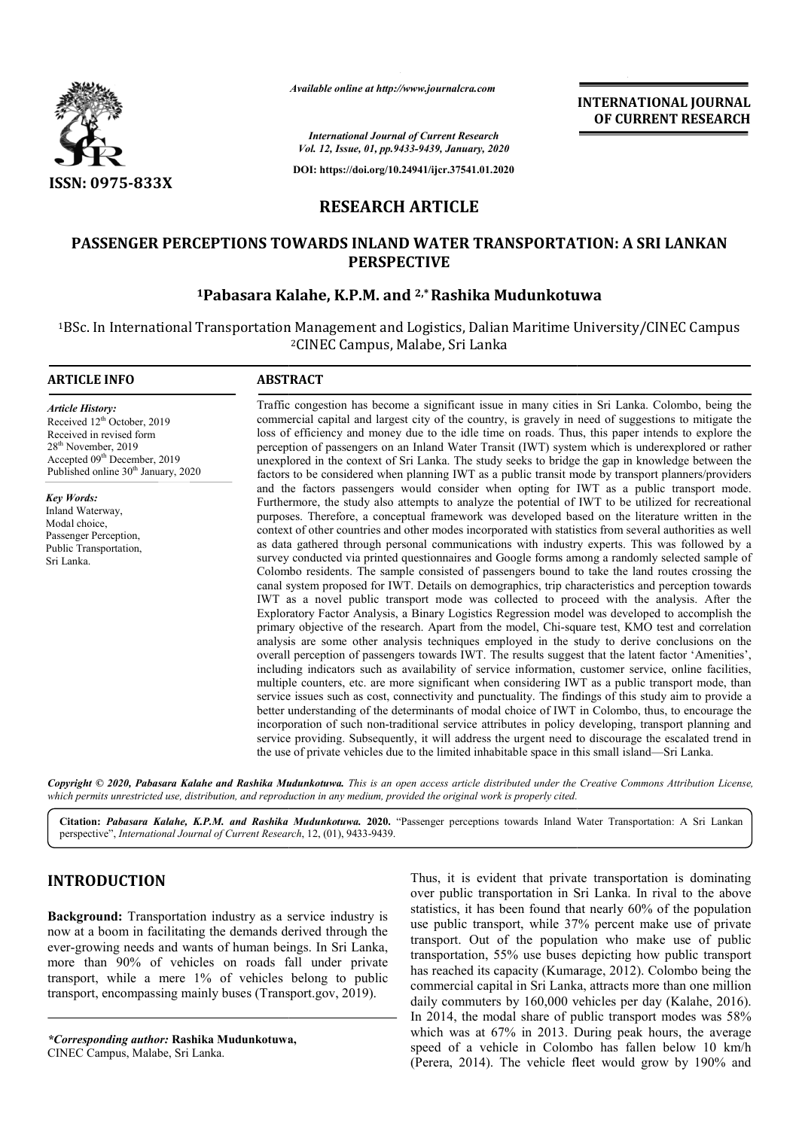

*Available online at http://www.journalcra.com*

**INTERNATIONAL JOURNAL OF CURRENT RESEARCH**

*International Journal of Current Research Vol. 12, Issue, 01, pp.9433-9439, January, 2020*

**DOI: https://doi.org/10.24941/ijcr.37541.01.2020**

# **RESEARCH ARTICLE**

# **PASSENGER PERCEPTIONS TOWARDS INLAND WATER TRANSPORTATION: A SRI LANKAN PERSPECTIVE**

# **1Pabasara Kalahe, K.P.M. and Pabasara 2,\* Rashika Mudunkotuwa**

<sup>1</sup>BSc. In International Transportation Management and Logistics, Dalian Maritime University/CINEC Campus<br><sup>2</sup>CINEC Campus, Malabe, Sri Lanka

#### **ARTICLE INFO ABSTRACT**

*Article History:* Received 12<sup>th</sup> October, 2019 Received in revised form 28th November, 2019 Accepted 09<sup>th</sup> December, 2019 Published online 30<sup>th</sup> January, 2020

*Key Words:* Inland Waterway, Modal choice, Passenger Perception, Public Transportation, Sri Lanka.

commercial capital and largest city of the country, is gravely in need of suggestions to mitigate the loss of efficiency and money due to the idle time on roads. Thus, this paper intends to explore the perception of passengers on an Inland Water Transit (IWT) system which is underexplored or rather unexplored in the context of Sri Lanka. The study seeks to bridge the gap in knowledge between the factors to be considered when planning IWT as a public transit mode by transport planners/providers and the factors passengers would consider when opting for IWT as a public transport mode. Furthermore, the study also attempts to analyze the potential of IWT to be utilized for recreational purposes. Therefore, a conceptual framework was developed based on the literature written in the context of other countries and other modes incorporated with statistics from several authorities as well as data gathered through personal communications with industry experts. This was followed by a survey conducted via printed questionnaires and Google forms among a randomly selected sample of Colombo residents. The sample consisted of passengers bound to take the land routes crossing the canal system proposed for IWT. Details on demographics, trip characteristics and perception towards IWT as a novel public transport mode was collected to proceed with the analysis. After the Exploratory Factor Analysis, a Binary Logistics Regression model was developed to accomplish the primary objective of the research. Apart from the model, Chi-square test, KMO test and correlation analysis are some other analysis techniques employed in the study to derive conclusions on the overall perception of passengers towards IWT. The results suggest that the latent factor 'Amenities', including indicators such as availability of service information, customer service, online facilities, multiple counters, etc. are more significant when considering IWT as a public transport mode, than service issues such as cost, connectivity and punctuality. The findings of this study aim to provide a better understanding of the determinants of modal choice of IWT in Colombo, thus, to encourage the incorporation of such non-traditional service attributes in policy developing, transport planning and service providing. Subsequently, it will address the urgent need to discourage the escalated trend in the use of private vehicles due to the limited inhabitable space in this small island ncluding indicators such as availability of service information, customer service, online facilities, multiple counters, etc. are more significant when considering IWT as a public transport mode, than service issues such a commercial capital and largest city of the country, is gravely in need of suggestions to mitigate the loss of efficiency and money due to the idle time on roads. Thus, this paper intends to explore the perception of passen and the factors passengers would consider when opting for IWT as a public transport mode.<br>Furthermore, the study also attempts to analyze the potential of IWT to be utilized for recreational<br>purposes. Therefore, a conceptu IWT as a novel public transport mode was collected to proceed with the analysis. After the Exploratory Factor Analysis, a Binary Logistics Regression model was developed to accomplish the primary objective of the research.

Traffic congestion has become a significant issue in many cities in Sri Lanka. Colombo, being the

Copyright © 2020, Pabasara Kalahe and Rashika Mudunkotuwa. This is an open access article distributed under the Creative Commons Attribution License, which permits unrestricted use, distribution, and reproduction in any medium, provided the original work is properly cited.

Citation: Pabasara Kalahe, K.P.M. and Rashika Mudunkotuwa. 2020. "Passenger perceptions towards Inland Water Transportation: A Sri Lankan perspective", *International Journal of Current Research* , 12, (01), 9433-9439.

# **INTRODUCTION**

**Background:** Transportation industry as a service industry is now at a boom in facilitating the demands derived through the ever-growing needs and wants of human beings. In Sri Lanka, more than 90% of vehicles on roads fall under private transport, while a mere 1% of vehicles belong to public transport, encompassing mainly buses (Transport.gov, 2019).

*\*Corresponding author:* **Rashika Mudunkotuwa Mudunkotuwa,** CINEC Campus, Malabe, Sri Lanka.

Thus, it is evident that private transportation is dominating over public transportation in Sri Lanka. In rival to the above statistics, it has been found that nearly 60% of the population use public transport, while 37% percent make use of private transport. Out of the population who make use of public transportation, 55% use buses depicting how public transport has reached its capacity (Kumarage, 2012). Colombo being the commercial capital in Sri Lanka, attracts more than one million daily commuters by 160,000 vehicles per day (Kalahe, 2016). In 2014, the modal share of public transport modes was 58% which was at 67% in 2013. During peak hours, the average speed of a vehicle in Colombo has fallen below 10 km/h (Perera, 2014). The vehicle fleet would grow by 190% and Thus, it is evident that private transportation is dominating<br>over public transportation in Sri Lanka. In rival to the above<br>statistics, it has been found that nearly 60% of the population<br>use public transport, while 37% p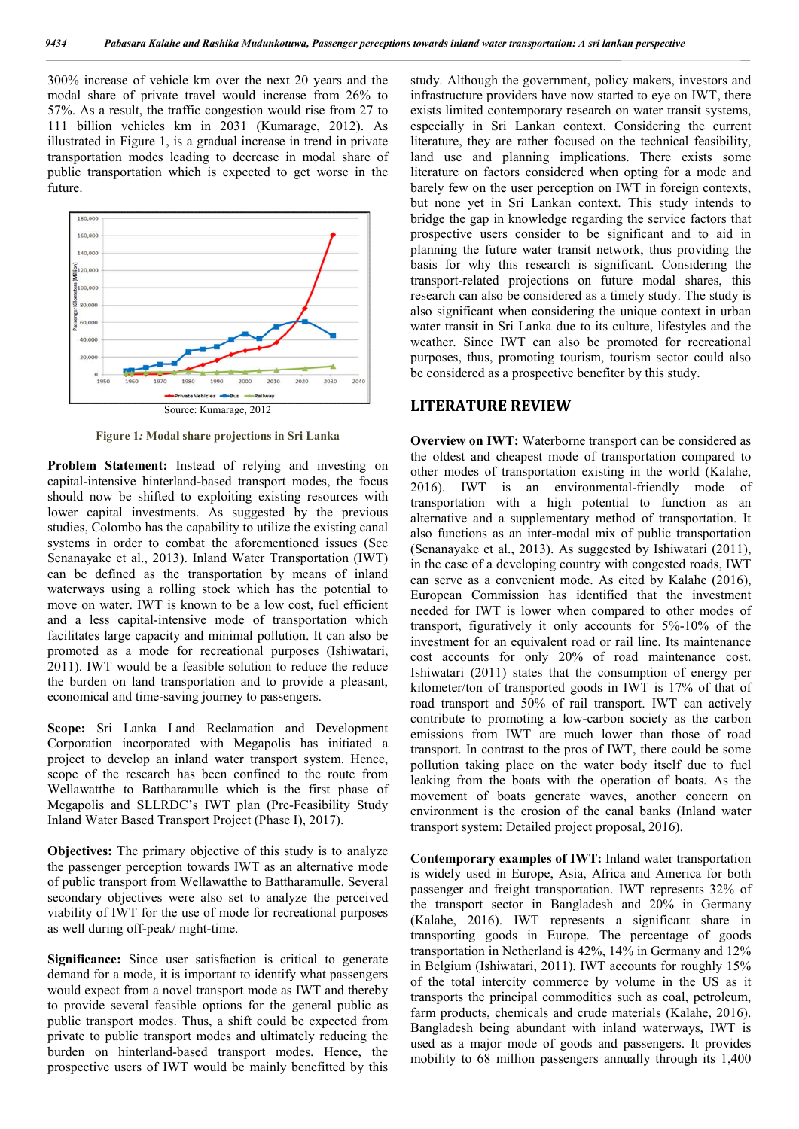300% increase of vehicle km over the next 20 years and the modal share of private travel would increase from 26% to 57%. As a result, the traffic congestion would rise from 27 to 111 billion vehicles km in 2031 (Kumarage, 2012). As illustrated in Figure 1, is a gradual increase in trend in private transportation modes leading to decrease in modal share of public transportation which is expected to get worse in the future.



**Figure 1***:* **Modal share projections in Sri Lanka**

**Problem Statement:** Instead of relying and investing on capital-intensive hinterland-based transport modes, the focus should now be shifted to exploiting existing resources with lower capital investments. As suggested by the previous studies, Colombo has the capability to utilize the existing canal systems in order to combat the aforementioned issues (See Senanayake et al., 2013). Inland Water Transportation (IWT) can be defined as the transportation by means of inland waterways using a rolling stock which has the potential to move on water. IWT is known to be a low cost, fuel efficient and a less capital-intensive mode of transportation which facilitates large capacity and minimal pollution. It can also be promoted as a mode for recreational purposes (Ishiwatari, 2011). IWT would be a feasible solution to reduce the reduce the burden on land transportation and to provide a pleasant, economical and time-saving journey to passengers.

**Scope:** Sri Lanka Land Reclamation and Development Corporation incorporated with Megapolis has initiated a project to develop an inland water transport system. Hence, scope of the research has been confined to the route from Wellawatthe to Battharamulle which is the first phase of Megapolis and SLLRDC's IWT plan (Pre-Feasibility Study Inland Water Based Transport Project (Phase I), 2017).

**Objectives:** The primary objective of this study is to analyze the passenger perception towards IWT as an alternative mode of public transport from Wellawatthe to Battharamulle. Several secondary objectives were also set to analyze the perceived viability of IWT for the use of mode for recreational purposes as well during off-peak/ night-time.

**Significance:** Since user satisfaction is critical to generate demand for a mode, it is important to identify what passengers would expect from a novel transport mode as IWT and thereby to provide several feasible options for the general public as public transport modes. Thus, a shift could be expected from private to public transport modes and ultimately reducing the burden on hinterland-based transport modes. Hence, the prospective users of IWT would be mainly benefitted by this

study. Although the government, policy makers, investors and infrastructure providers have now started to eye on IWT, there exists limited contemporary research on water transit systems, especially in Sri Lankan context. Considering the current literature, they are rather focused on the technical feasibility, land use and planning implications. There exists some literature on factors considered when opting for a mode and barely few on the user perception on IWT in foreign contexts, but none yet in Sri Lankan context. This study intends to bridge the gap in knowledge regarding the service factors that prospective users consider to be significant and to aid in planning the future water transit network, thus providing the basis for why this research is significant. Considering the transport-related projections on future modal shares, this research can also be considered as a timely study. The study is also significant when considering the unique context in urban water transit in Sri Lanka due to its culture, lifestyles and the weather. Since IWT can also be promoted for recreational purposes, thus, promoting tourism, tourism sector could also be considered as a prospective benefiter by this study.

## **LITERATURE REVIEW**

**Overview on IWT:** Waterborne transport can be considered as the oldest and cheapest mode of transportation compared to other modes of transportation existing in the world (Kalahe, 2016). IWT is an environmental-friendly mode of transportation with a high potential to function as an alternative and a supplementary method of transportation. It also functions as an inter-modal mix of public transportation (Senanayake et al., 2013). As suggested by Ishiwatari (2011), in the case of a developing country with congested roads, IWT can serve as a convenient mode. As cited by Kalahe (2016), European Commission has identified that the investment needed for IWT is lower when compared to other modes of transport, figuratively it only accounts for 5%-10% of the investment for an equivalent road or rail line. Its maintenance cost accounts for only 20% of road maintenance cost. Ishiwatari (2011) states that the consumption of energy per kilometer/ton of transported goods in IWT is 17% of that of road transport and 50% of rail transport. IWT can actively contribute to promoting a low-carbon society as the carbon emissions from IWT are much lower than those of road transport. In contrast to the pros of IWT, there could be some pollution taking place on the water body itself due to fuel leaking from the boats with the operation of boats. As the movement of boats generate waves, another concern on environment is the erosion of the canal banks (Inland water transport system: Detailed project proposal, 2016).

**Contemporary examples of IWT:** Inland water transportation is widely used in Europe, Asia, Africa and America for both passenger and freight transportation. IWT represents 32% of the transport sector in Bangladesh and 20% in Germany (Kalahe, 2016). IWT represents a significant share in transporting goods in Europe. The percentage of goods transportation in Netherland is 42%, 14% in Germany and 12% in Belgium (Ishiwatari, 2011). IWT accounts for roughly 15% of the total intercity commerce by volume in the US as it transports the principal commodities such as coal, petroleum, farm products, chemicals and crude materials (Kalahe, 2016). Bangladesh being abundant with inland waterways, IWT is used as a major mode of goods and passengers. It provides mobility to 68 million passengers annually through its 1,400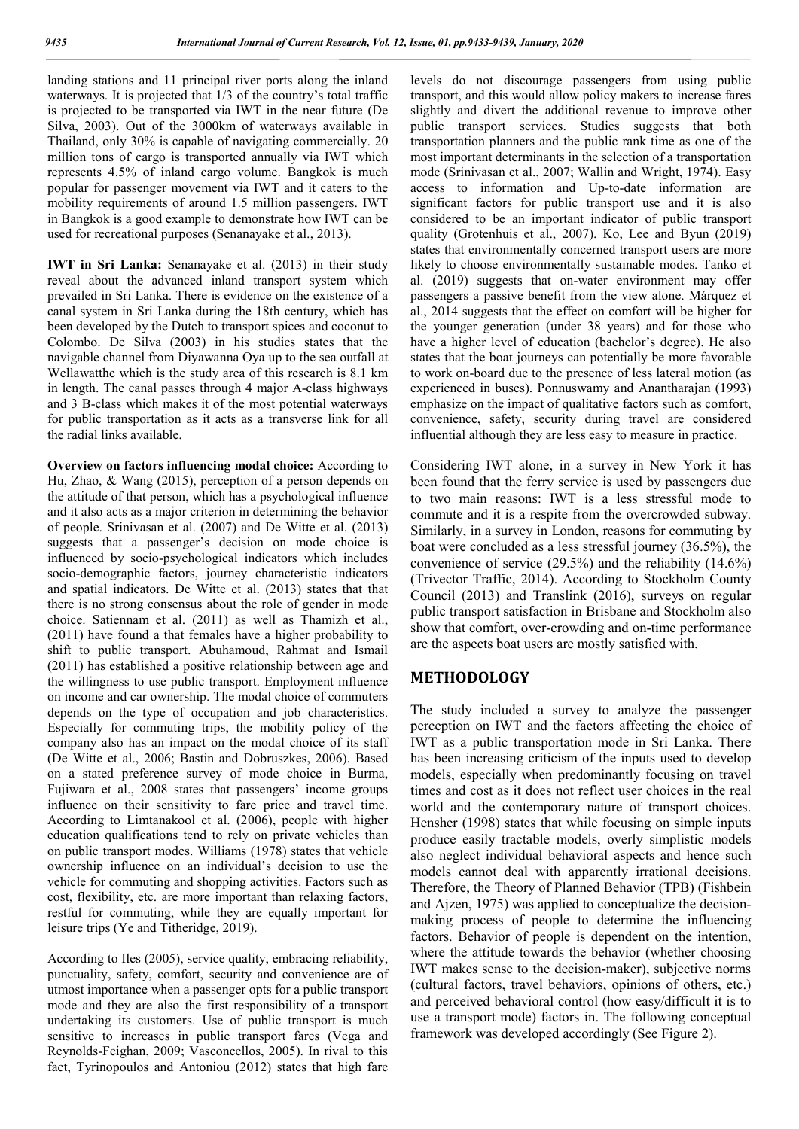landing stations and 11 principal river ports along the inland waterways. It is projected that 1/3 of the country's total traffic is projected to be transported via IWT in the near future (De Silva, 2003). Out of the 3000km of waterways available in Thailand, only 30% is capable of navigating commercially. 20 million tons of cargo is transported annually via IWT which represents 4.5% of inland cargo volume. Bangkok is much popular for passenger movement via IWT and it caters to the mobility requirements of around 1.5 million passengers. IWT in Bangkok is a good example to demonstrate how IWT can be used for recreational purposes (Senanayake et al., 2013).

**IWT in Sri Lanka:** Senanayake et al. (2013) in their study reveal about the advanced inland transport system which prevailed in Sri Lanka. There is evidence on the existence of a canal system in Sri Lanka during the 18th century, which has been developed by the Dutch to transport spices and coconut to Colombo. De Silva (2003) in his studies states that the navigable channel from Diyawanna Oya up to the sea outfall at Wellawatthe which is the study area of this research is 8.1 km in length. The canal passes through 4 major A-class highways and 3 B-class which makes it of the most potential waterways for public transportation as it acts as a transverse link for all the radial links available.

**Overview on factors influencing modal choice:** According to Hu, Zhao, & Wang (2015), perception of a person depends on the attitude of that person, which has a psychological influence and it also acts as a major criterion in determining the behavior of people. Srinivasan et al. (2007) and De Witte et al. (2013) suggests that a passenger's decision on mode choice is influenced by socio-psychological indicators which includes socio-demographic factors, journey characteristic indicators and spatial indicators. De Witte et al. (2013) states that that there is no strong consensus about the role of gender in mode choice. Satiennam et al. (2011) as well as Thamizh et al., (2011) have found a that females have a higher probability to shift to public transport. Abuhamoud, Rahmat and Ismail (2011) has established a positive relationship between age and the willingness to use public transport. Employment influence on income and car ownership. The modal choice of commuters depends on the type of occupation and job characteristics. Especially for commuting trips, the mobility policy of the company also has an impact on the modal choice of its staff (De Witte et al., 2006; Bastin and Dobruszkes, 2006). Based on a stated preference survey of mode choice in Burma, Fujiwara et al., 2008 states that passengers' income groups influence on their sensitivity to fare price and travel time. According to Limtanakool et al. (2006), people with higher education qualifications tend to rely on private vehicles than on public transport modes. Williams (1978) states that vehicle ownership influence on an individual's decision to use the vehicle for commuting and shopping activities. Factors such as cost, flexibility, etc. are more important than relaxing factors, restful for commuting, while they are equally important for leisure trips (Ye and Titheridge, 2019).

According to Iles (2005), service quality, embracing reliability, punctuality, safety, comfort, security and convenience are of utmost importance when a passenger opts for a public transport mode and they are also the first responsibility of a transport undertaking its customers. Use of public transport is much sensitive to increases in public transport fares (Vega and Reynolds-Feighan, 2009; Vasconcellos, 2005). In rival to this fact, Tyrinopoulos and Antoniou (2012) states that high fare

levels do not discourage passengers from using public transport, and this would allow policy makers to increase fares slightly and divert the additional revenue to improve other public transport services. Studies suggests that both transportation planners and the public rank time as one of the most important determinants in the selection of a transportation mode (Srinivasan et al., 2007; Wallin and Wright, 1974). Easy access to information and Up-to-date information are significant factors for public transport use and it is also considered to be an important indicator of public transport quality (Grotenhuis et al., 2007). Ko, Lee and Byun (2019) states that environmentally concerned transport users are more likely to choose environmentally sustainable modes. Tanko et al. (2019) suggests that on-water environment may offer passengers a passive benefit from the view alone. Márquez et al., 2014 suggests that the effect on comfort will be higher for the younger generation (under 38 years) and for those who have a higher level of education (bachelor's degree). He also states that the boat journeys can potentially be more favorable to work on-board due to the presence of less lateral motion (as experienced in buses). Ponnuswamy and Anantharajan (1993) emphasize on the impact of qualitative factors such as comfort, convenience, safety, security during travel are considered influential although they are less easy to measure in practice.

Considering IWT alone, in a survey in New York it has been found that the ferry service is used by passengers due to two main reasons: IWT is a less stressful mode to commute and it is a respite from the overcrowded subway. Similarly, in a survey in London, reasons for commuting by boat were concluded as a less stressful journey (36.5%), the convenience of service (29.5%) and the reliability (14.6%) (Trivector Traffic, 2014). According to Stockholm County Council (2013) and Translink (2016), surveys on regular public transport satisfaction in Brisbane and Stockholm also show that comfort, over-crowding and on-time performance are the aspects boat users are mostly satisfied with.

## **METHODOLOGY**

The study included a survey to analyze the passenger perception on IWT and the factors affecting the choice of IWT as a public transportation mode in Sri Lanka. There has been increasing criticism of the inputs used to develop models, especially when predominantly focusing on travel times and cost as it does not reflect user choices in the real world and the contemporary nature of transport choices. Hensher (1998) states that while focusing on simple inputs produce easily tractable models, overly simplistic models also neglect individual behavioral aspects and hence such models cannot deal with apparently irrational decisions. Therefore, the Theory of Planned Behavior (TPB) (Fishbein and Ajzen, 1975) was applied to conceptualize the decisionmaking process of people to determine the influencing factors. Behavior of people is dependent on the intention, where the attitude towards the behavior (whether choosing IWT makes sense to the decision-maker), subjective norms (cultural factors, travel behaviors, opinions of others, etc.) and perceived behavioral control (how easy/difficult it is to use a transport mode) factors in. The following conceptual framework was developed accordingly (See Figure 2).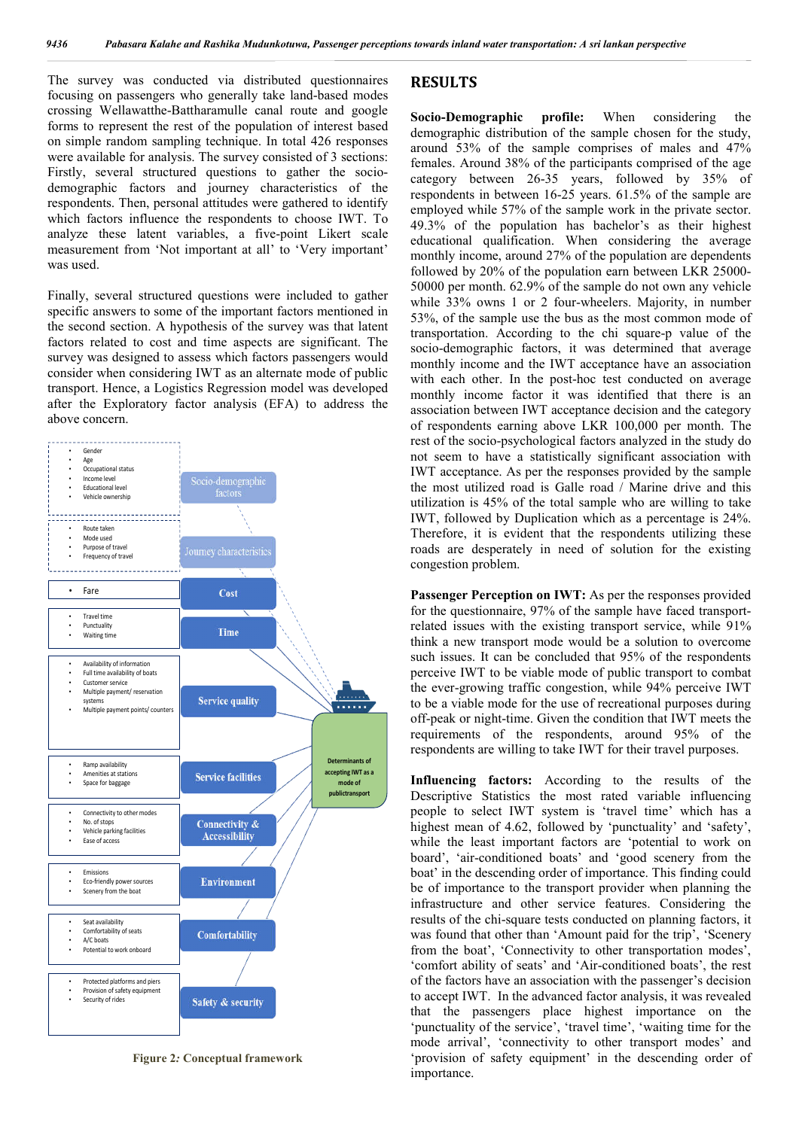The survey was conducted via distributed questionnaires focusing on passengers who generally take land-based modes crossing Wellawatthe-Battharamulle canal route and google forms to represent the rest of the population of interest based on simple random sampling technique. In total 426 responses were available for analysis. The survey consisted of 3 sections: Firstly, several structured questions to gather the sociodemographic factors and journey characteristics of the respondents. Then, personal attitudes were gathered to identify which factors influence the respondents to choose IWT. To analyze these latent variables, a five-point Likert scale measurement from 'Not important at all' to 'Very important' was used.

Finally, several structured questions were included to gather specific answers to some of the important factors mentioned in the second section. A hypothesis of the survey was that latent factors related to cost and time aspects are significant. The survey was designed to assess which factors passengers would consider when considering IWT as an alternate mode of public transport. Hence, a Logistics Regression model was developed after the Exploratory factor analysis (EFA) to address the above concern.



**Figure 2***:* **Conceptual framework**

### **RESULTS**

**Socio-Demographic profile:** When considering the demographic distribution of the sample chosen for the study, around 53% of the sample comprises of males and 47% females. Around 38% of the participants comprised of the age category between 26-35 years, followed by 35% of respondents in between 16-25 years. 61.5% of the sample are employed while 57% of the sample work in the private sector. 49.3% of the population has bachelor's as their highest educational qualification. When considering the average monthly income, around 27% of the population are dependents followed by 20% of the population earn between LKR 25000- 50000 per month. 62.9% of the sample do not own any vehicle while 33% owns 1 or 2 four-wheelers. Majority, in number 53%, of the sample use the bus as the most common mode of transportation. According to the chi square-p value of the socio-demographic factors, it was determined that average monthly income and the IWT acceptance have an association with each other. In the post-hoc test conducted on average monthly income factor it was identified that there is an association between IWT acceptance decision and the category of respondents earning above LKR 100,000 per month. The rest of the socio-psychological factors analyzed in the study do not seem to have a statistically significant association with IWT acceptance. As per the responses provided by the sample the most utilized road is Galle road / Marine drive and this utilization is 45% of the total sample who are willing to take IWT, followed by Duplication which as a percentage is 24%. Therefore, it is evident that the respondents utilizing these roads are desperately in need of solution for the existing congestion problem.

**Passenger Perception on IWT:** As per the responses provided for the questionnaire, 97% of the sample have faced transportrelated issues with the existing transport service, while 91% think a new transport mode would be a solution to overcome such issues. It can be concluded that 95% of the respondents perceive IWT to be viable mode of public transport to combat the ever-growing traffic congestion, while 94% perceive IWT to be a viable mode for the use of recreational purposes during off-peak or night-time. Given the condition that IWT meets the requirements of the respondents, around 95% of the respondents are willing to take IWT for their travel purposes.

**Influencing factors:** According to the results of the Descriptive Statistics the most rated variable influencing people to select IWT system is 'travel time' which has a highest mean of 4.62, followed by 'punctuality' and 'safety', while the least important factors are 'potential to work on board', 'air-conditioned boats' and 'good scenery from the boat' in the descending order of importance. This finding could be of importance to the transport provider when planning the infrastructure and other service features. Considering the results of the chi-square tests conducted on planning factors, it was found that other than 'Amount paid for the trip', 'Scenery from the boat', 'Connectivity to other transportation modes', 'comfort ability of seats' and 'Air-conditioned boats', the rest of the factors have an association with the passenger's decision to accept IWT. In the advanced factor analysis, it was revealed that the passengers place highest importance on the 'punctuality of the service', 'travel time', 'waiting time for the mode arrival', 'connectivity to other transport modes' and 'provision of safety equipment' in the descending order of importance.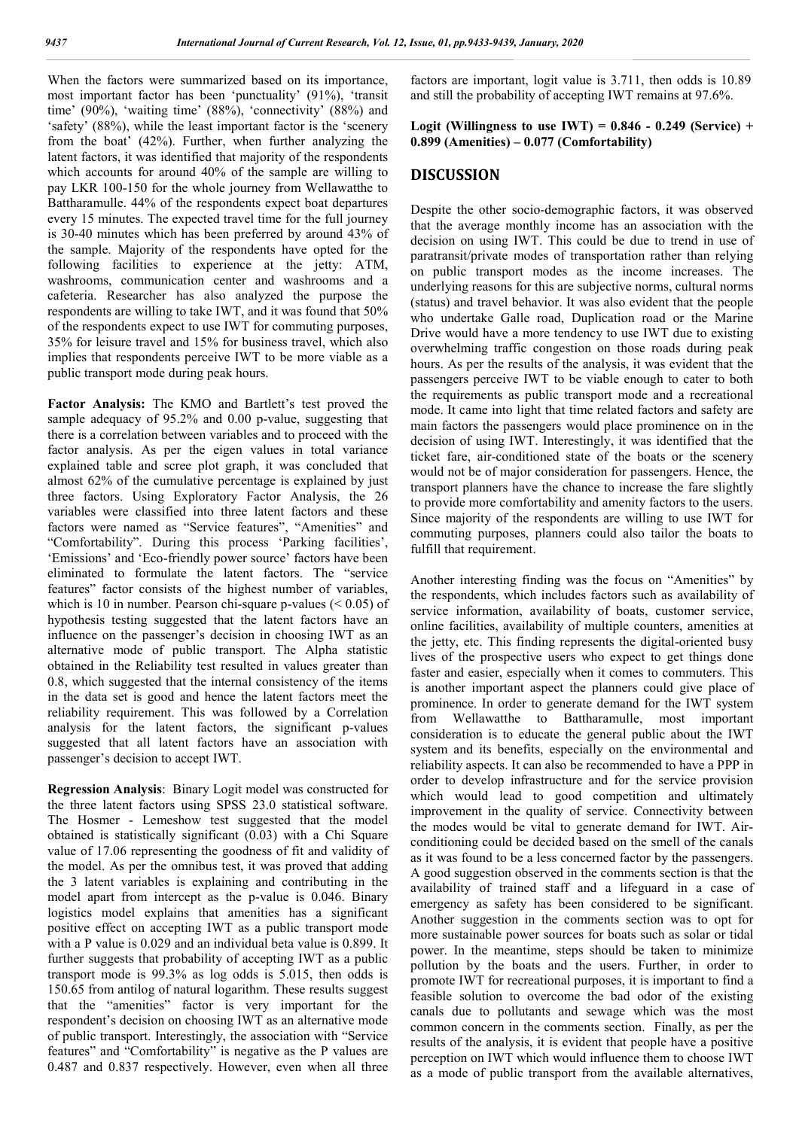When the factors were summarized based on its importance, most important factor has been 'punctuality' (91%), 'transit time' (90%), 'waiting time' (88%), 'connectivity' (88%) and 'safety' (88%), while the least important factor is the 'scenery from the boat' (42%). Further, when further analyzing the latent factors, it was identified that majority of the respondents which accounts for around 40% of the sample are willing to pay LKR 100-150 for the whole journey from Wellawatthe to Battharamulle. 44% of the respondents expect boat departures every 15 minutes. The expected travel time for the full journey is 30-40 minutes which has been preferred by around 43% of the sample. Majority of the respondents have opted for the following facilities to experience at the jetty: ATM, washrooms, communication center and washrooms and a cafeteria. Researcher has also analyzed the purpose the respondents are willing to take IWT, and it was found that 50% of the respondents expect to use IWT for commuting purposes, 35% for leisure travel and 15% for business travel, which also implies that respondents perceive IWT to be more viable as a public transport mode during peak hours.

**Factor Analysis:** The KMO and Bartlett's test proved the sample adequacy of 95.2% and 0.00 p-value, suggesting that there is a correlation between variables and to proceed with the factor analysis. As per the eigen values in total variance explained table and scree plot graph, it was concluded that almost 62% of the cumulative percentage is explained by just three factors. Using Exploratory Factor Analysis, the 26 variables were classified into three latent factors and these factors were named as "Service features", "Amenities" and "Comfortability". During this process 'Parking facilities', 'Emissions' and 'Eco-friendly power source' factors have been eliminated to formulate the latent factors. The "service features" factor consists of the highest number of variables, which is 10 in number. Pearson chi-square p-values  $( $0.05$ )$  of hypothesis testing suggested that the latent factors have an influence on the passenger's decision in choosing IWT as an alternative mode of public transport. The Alpha statistic obtained in the Reliability test resulted in values greater than 0.8, which suggested that the internal consistency of the items in the data set is good and hence the latent factors meet the reliability requirement. This was followed by a Correlation analysis for the latent factors, the significant p-values suggested that all latent factors have an association with passenger's decision to accept IWT.

**Regression Analysis**: Binary Logit model was constructed for the three latent factors using SPSS 23.0 statistical software. The Hosmer - Lemeshow test suggested that the model obtained is statistically significant (0.03) with a Chi Square value of 17.06 representing the goodness of fit and validity of the model. As per the omnibus test, it was proved that adding the 3 latent variables is explaining and contributing in the model apart from intercept as the p-value is 0.046. Binary logistics model explains that amenities has a significant positive effect on accepting IWT as a public transport mode with a P value is 0.029 and an individual beta value is 0.899. It further suggests that probability of accepting IWT as a public transport mode is 99.3% as log odds is 5.015, then odds is 150.65 from antilog of natural logarithm. These results suggest that the "amenities" factor is very important for the respondent's decision on choosing IWT as an alternative mode of public transport. Interestingly, the association with "Service features" and "Comfortability" is negative as the P values are 0.487 and 0.837 respectively. However, even when all three

factors are important, logit value is 3.711, then odds is 10.89 and still the probability of accepting IWT remains at 97.6%.

**Logit (Willingness to use IWT) = 0.846 - 0.249 (Service) + 0.899 (Amenities) – 0.077 (Comfortability)**

## **DISCUSSION**

Despite the other socio-demographic factors, it was observed that the average monthly income has an association with the decision on using IWT. This could be due to trend in use of paratransit/private modes of transportation rather than relying on public transport modes as the income increases. The underlying reasons for this are subjective norms, cultural norms (status) and travel behavior. It was also evident that the people who undertake Galle road, Duplication road or the Marine Drive would have a more tendency to use IWT due to existing overwhelming traffic congestion on those roads during peak hours. As per the results of the analysis, it was evident that the passengers perceive IWT to be viable enough to cater to both the requirements as public transport mode and a recreational mode. It came into light that time related factors and safety are main factors the passengers would place prominence on in the decision of using IWT. Interestingly, it was identified that the ticket fare, air-conditioned state of the boats or the scenery would not be of major consideration for passengers. Hence, the transport planners have the chance to increase the fare slightly to provide more comfortability and amenity factors to the users. Since majority of the respondents are willing to use IWT for commuting purposes, planners could also tailor the boats to fulfill that requirement.

Another interesting finding was the focus on "Amenities" by the respondents, which includes factors such as availability of service information, availability of boats, customer service, online facilities, availability of multiple counters, amenities at the jetty, etc. This finding represents the digital-oriented busy lives of the prospective users who expect to get things done faster and easier, especially when it comes to commuters. This is another important aspect the planners could give place of prominence. In order to generate demand for the IWT system from Wellawatthe to Battharamulle, most important consideration is to educate the general public about the IWT system and its benefits, especially on the environmental and reliability aspects. It can also be recommended to have a PPP in order to develop infrastructure and for the service provision which would lead to good competition and ultimately improvement in the quality of service. Connectivity between the modes would be vital to generate demand for IWT. Airconditioning could be decided based on the smell of the canals as it was found to be a less concerned factor by the passengers. A good suggestion observed in the comments section is that the availability of trained staff and a lifeguard in a case of emergency as safety has been considered to be significant. Another suggestion in the comments section was to opt for more sustainable power sources for boats such as solar or tidal power. In the meantime, steps should be taken to minimize pollution by the boats and the users. Further, in order to promote IWT for recreational purposes, it is important to find a feasible solution to overcome the bad odor of the existing canals due to pollutants and sewage which was the most common concern in the comments section. Finally, as per the results of the analysis, it is evident that people have a positive perception on IWT which would influence them to choose IWT as a mode of public transport from the available alternatives,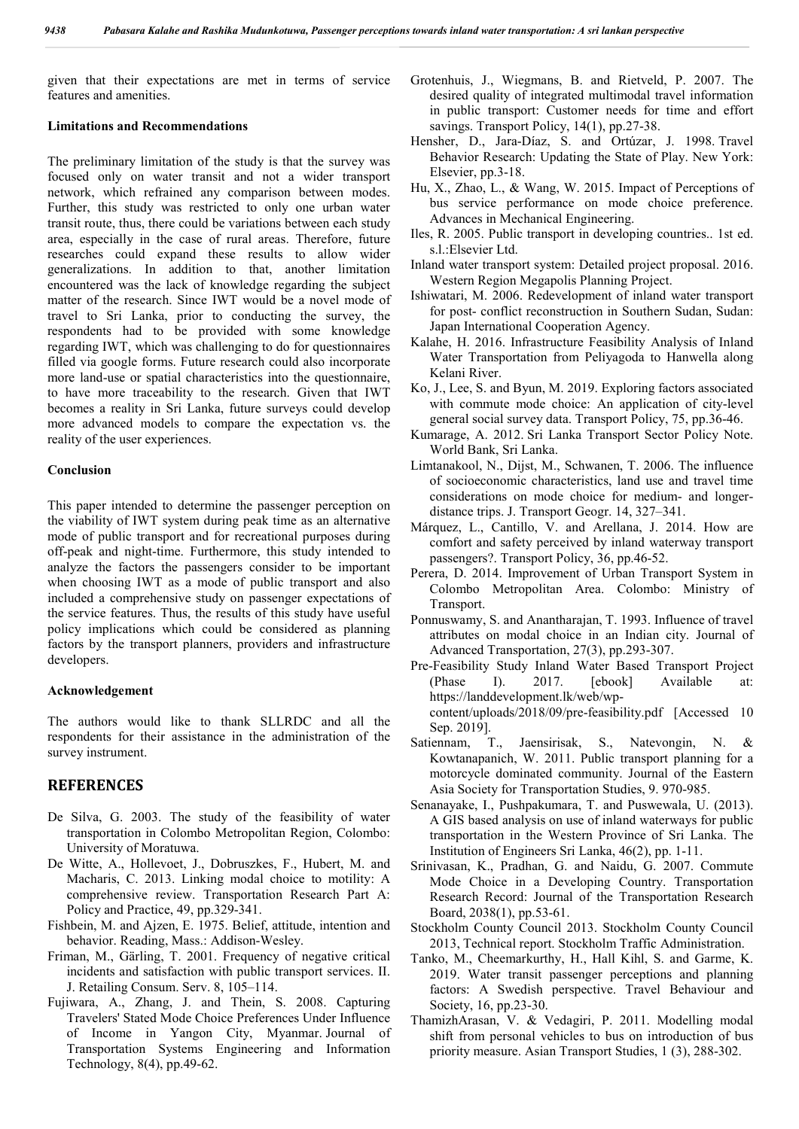given that their expectations are met in terms of service features and amenities.

#### **Limitations and Recommendations**

The preliminary limitation of the study is that the survey was focused only on water transit and not a wider transport network, which refrained any comparison between modes. Further, this study was restricted to only one urban water transit route, thus, there could be variations between each study area, especially in the case of rural areas. Therefore, future researches could expand these results to allow wider generalizations. In addition to that, another limitation encountered was the lack of knowledge regarding the subject matter of the research. Since IWT would be a novel mode of travel to Sri Lanka, prior to conducting the survey, the respondents had to be provided with some knowledge regarding IWT, which was challenging to do for questionnaires filled via google forms. Future research could also incorporate more land-use or spatial characteristics into the questionnaire, to have more traceability to the research. Given that IWT becomes a reality in Sri Lanka, future surveys could develop more advanced models to compare the expectation vs. the reality of the user experiences.

#### **Conclusion**

This paper intended to determine the passenger perception on the viability of IWT system during peak time as an alternative mode of public transport and for recreational purposes during off-peak and night-time. Furthermore, this study intended to analyze the factors the passengers consider to be important when choosing IWT as a mode of public transport and also included a comprehensive study on passenger expectations of the service features. Thus, the results of this study have useful policy implications which could be considered as planning factors by the transport planners, providers and infrastructure developers.

#### **Acknowledgement**

The authors would like to thank SLLRDC and all the respondents for their assistance in the administration of the survey instrument.

## **REFERENCES**

- De Silva, G. 2003. The study of the feasibility of water transportation in Colombo Metropolitan Region, Colombo: University of Moratuwa.
- De Witte, A., Hollevoet, J., Dobruszkes, F., Hubert, M. and Macharis, C. 2013. Linking modal choice to motility: A comprehensive review. Transportation Research Part A: Policy and Practice, 49, pp.329-341.
- Fishbein, M. and Ajzen, E. 1975. Belief, attitude, intention and behavior. Reading, Mass.: Addison-Wesley.
- Friman, M., Gärling, T. 2001. Frequency of negative critical incidents and satisfaction with public transport services. II. J. Retailing Consum. Serv. 8, 105–114.
- Fujiwara, A., Zhang, J. and Thein, S. 2008. Capturing Travelers' Stated Mode Choice Preferences Under Influence of Income in Yangon City, Myanmar. Journal of Transportation Systems Engineering and Information Technology, 8(4), pp.49-62.
- Grotenhuis, J., Wiegmans, B. and Rietveld, P. 2007. The desired quality of integrated multimodal travel information in public transport: Customer needs for time and effort savings. Transport Policy, 14(1), pp.27-38.
- Hensher, D., Jara-Díaz, S. and Ortúzar, J. 1998. Travel Behavior Research: Updating the State of Play. New York: Elsevier, pp.3-18.
- Hu, X., Zhao, L., & Wang, W. 2015. Impact of Perceptions of bus service performance on mode choice preference. Advances in Mechanical Engineering.
- Iles, R. 2005. Public transport in developing countries.. 1st ed. s.l.:Elsevier Ltd.
- Inland water transport system: Detailed project proposal. 2016. Western Region Megapolis Planning Project.
- Ishiwatari, M. 2006. Redevelopment of inland water transport for post- conflict reconstruction in Southern Sudan, Sudan: Japan International Cooperation Agency.
- Kalahe, H. 2016. Infrastructure Feasibility Analysis of Inland Water Transportation from Peliyagoda to Hanwella along Kelani River.
- Ko, J., Lee, S. and Byun, M. 2019. Exploring factors associated with commute mode choice: An application of city-level general social survey data. Transport Policy, 75, pp.36-46.
- Kumarage, A. 2012. Sri Lanka Transport Sector Policy Note. World Bank, Sri Lanka.
- Limtanakool, N., Dijst, M., Schwanen, T. 2006. The influence of socioeconomic characteristics, land use and travel time considerations on mode choice for medium- and longerdistance trips. J. Transport Geogr. 14, 327–341.
- Márquez, L., Cantillo, V. and Arellana, J. 2014. How are comfort and safety perceived by inland waterway transport passengers?. Transport Policy, 36, pp.46-52.
- Perera, D. 2014. Improvement of Urban Transport System in Colombo Metropolitan Area. Colombo: Ministry of Transport.
- Ponnuswamy, S. and Anantharajan, T. 1993. Influence of travel attributes on modal choice in an Indian city. Journal of Advanced Transportation, 27(3), pp.293-307.
- Pre-Feasibility Study Inland Water Based Transport Project (Phase I). 2017. [ebook] Available at: https://landdevelopment.lk/web/wpcontent/uploads/2018/09/pre-feasibility.pdf [Accessed 10
- Sep. 2019]. Satiennam, T., Jaensirisak, S., Natevongin, N. & Kowtanapanich, W. 2011. Public transport planning for a motorcycle dominated community. Journal of the Eastern Asia Society for Transportation Studies, 9. 970-985.
- Senanayake, I., Pushpakumara, T. and Puswewala, U. (2013). A GIS based analysis on use of inland waterways for public transportation in the Western Province of Sri Lanka. The Institution of Engineers Sri Lanka, 46(2), pp. 1-11.
- Srinivasan, K., Pradhan, G. and Naidu, G. 2007. Commute Mode Choice in a Developing Country. Transportation Research Record: Journal of the Transportation Research Board, 2038(1), pp.53-61.
- Stockholm County Council 2013. Stockholm County Council 2013, Technical report. Stockholm Traffic Administration.
- Tanko, M., Cheemarkurthy, H., Hall Kihl, S. and Garme, K. 2019. Water transit passenger perceptions and planning factors: A Swedish perspective. Travel Behaviour and Society, 16, pp.23-30.
- ThamizhArasan, V. & Vedagiri, P. 2011. Modelling modal shift from personal vehicles to bus on introduction of bus priority measure. Asian Transport Studies, 1 (3), 288-302.